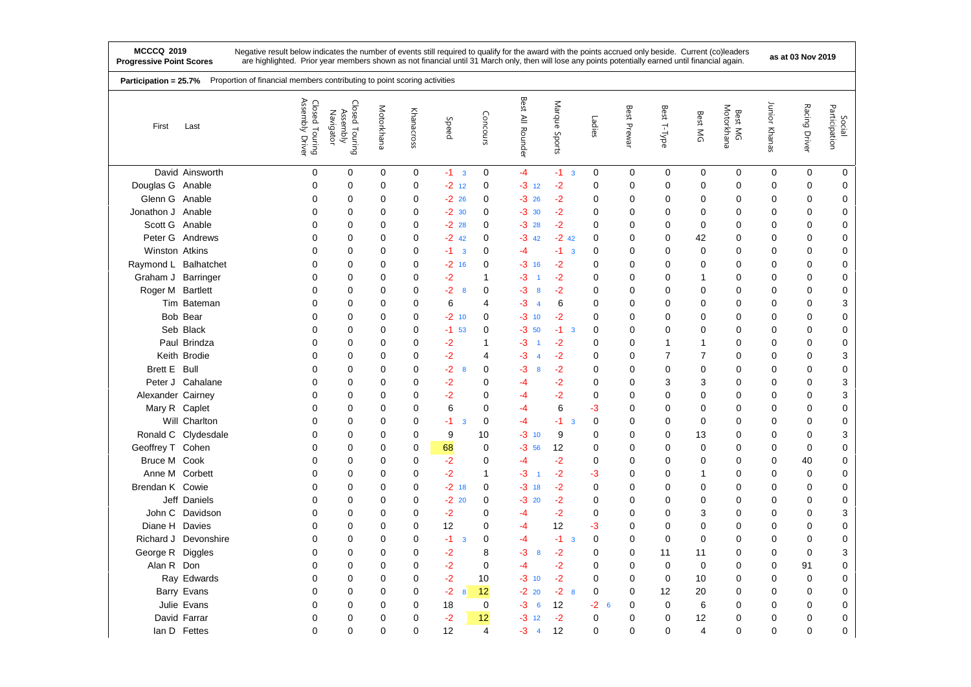| Proportion of financial members contributing to point scoring activities<br>Participation = 25.7% |                      |                                   |                                         |             |             |                                 |                |                      |                                 |             |             |                |                |                       |               |               |                         |
|---------------------------------------------------------------------------------------------------|----------------------|-----------------------------------|-----------------------------------------|-------------|-------------|---------------------------------|----------------|----------------------|---------------------------------|-------------|-------------|----------------|----------------|-----------------------|---------------|---------------|-------------------------|
| First                                                                                             | Last                 | Assembly Driver<br>Closed Touring | Closed Touring<br>Assembly<br>Navigator | Motorkhana  | Khanacross  | Speed                           | Concours       | Best<br>All Rounder  | Marque<br>Sports                | Ladies      | Best Prewar | Best T-Type    | Best MG        | Motorkhana<br>Best MG | Junior Khanas | Racing Driver | Participation<br>Social |
|                                                                                                   | David Ainsworth      | 0                                 | 0                                       | 0           | 0           | $-1$ 3                          | 0              | $-4$                 | $-1$ 3                          | 0           | 0           | $\mathbf 0$    | 0              | 0                     | 0             | 0             | 0                       |
| Douglas G Anable                                                                                  |                      | $\mathbf 0$                       | $\mathbf 0$                             | 0           | $\mathbf 0$ | $-2$ 12                         | $\mathbf 0$    | $-3$ 12              | $-2$                            | 0           | 0           | $\mathbf 0$    | $\mathbf 0$    | 0                     | $\mathbf 0$   | $\mathbf 0$   | 0                       |
| Glenn G Anable                                                                                    |                      | $\mathbf 0$                       | 0                                       | 0           | $\mathbf 0$ | $-2$ 26                         | $\mathbf 0$    | $-326$               | $-2$                            | $\mathbf 0$ | 0           | $\mathbf 0$    | 0              | $\mathbf 0$           | 0             | $\mathbf 0$   | 0                       |
| Jonathon J Anable                                                                                 |                      | $\mathbf 0$                       | 0                                       | 0           | 0           | $-2$ 30                         | $\mathbf 0$    | $-3.30$              | $-2$                            | $\mathbf 0$ | 0           | $\mathbf 0$    | 0              | 0                     | 0             | $\mathbf 0$   | 0                       |
| Scott G Anable                                                                                    |                      | $\mathbf 0$                       | $\mathbf 0$                             | $\mathbf 0$ | 0           | $-22$ 28                        | $\mathbf 0$    | $-328$               | $-2$                            | 0           | 0           | 0              | $\mathbf 0$    | $\mathbf 0$           | 0             | $\mathbf 0$   | 0                       |
|                                                                                                   | Peter G Andrews      | $\mathbf 0$                       | 0                                       | $\mathbf 0$ | $\mathbf 0$ | $-2$ 42                         | $\mathbf 0$    | -3<br>42             | $-2$ 42                         | 0           | 0           | $\mathbf 0$    | 42             | 0                     | 0             | $\mathbf 0$   | 0                       |
| Winston Atkins                                                                                    |                      | $\mathbf{0}$                      | $\mathbf 0$                             | 0           | $\mathbf 0$ | $-1$<br>$\overline{\mathbf{3}}$ | $\mathbf 0$    | -4                   | $-1$<br>$\overline{\mathbf{3}}$ | $\mathbf 0$ | 0           | $\mathbf 0$    | $\mathbf 0$    | $\mathbf 0$           | 0             | $\mathbf 0$   | 0                       |
| Raymond L Balhatchet                                                                              |                      | 0                                 | 0                                       | 0           | 0           | $-2$ 16                         | $\mathbf 0$    | $-3$ 16              | $-2$                            | 0           | 0           | 0              | 0              | 0                     | 0             | $\mathbf 0$   | 0                       |
| Graham J Barringer                                                                                |                      | $\mathbf 0$                       | 0                                       | 0           | $\mathbf 0$ | $-2$                            | 1              | -3<br>$\overline{1}$ | $-2$                            | 0           | 0           | $\mathbf 0$    | $\mathbf{1}$   | $\mathbf 0$           | 0             | $\mathbf 0$   | 0                       |
| Roger M Bartlett                                                                                  |                      | $\Omega$                          | 0                                       | 0           | $\mathbf 0$ | $-2$<br>8                       | $\mathbf 0$    | -3<br>8              | $-2$                            | 0           | 0           | $\mathbf 0$    | $\Omega$       | 0                     | 0             | $\mathbf 0$   | 0                       |
|                                                                                                   | Tim Bateman          | $\Omega$                          | $\mathbf 0$                             | 0           | $\mathbf 0$ | 6                               | 4              | -3<br>$\overline{4}$ | 6                               | $\mathbf 0$ | 0           | $\mathbf 0$    | $\mathbf 0$    | $\mathbf 0$           | 0             | $\mathbf 0$   | 3                       |
|                                                                                                   | Bob Bear             | $\Omega$                          | $\mathbf 0$                             | $\Omega$    | 0           | $-2$ 10                         | $\mathbf 0$    | $-3$ 10              | $-2$                            | 0           | 0           | $\mathbf 0$    | $\Omega$       | 0                     | 0             | $\mathbf 0$   | 0                       |
|                                                                                                   | Seb Black            | 0                                 | 0                                       | 0           | 0           | $-1$<br>53                      | 0              | -3<br>50             | $-1$<br>$\overline{\mathbf{3}}$ | 0           | 0           | $\mathbf 0$    | $\mathbf 0$    | $\mathbf 0$           | 0             | $\mathbf 0$   | 0                       |
|                                                                                                   | Paul Brindza         | $\Omega$                          | 0                                       | $\mathbf 0$ | 0           | -2                              | 1              | -3                   | $-2$                            | 0           | 0           | 1              | $\mathbf{1}$   | 0                     | 0             | $\mathbf 0$   | 0                       |
|                                                                                                   | Keith Brodie         | $\mathbf 0$                       | $\mathbf 0$                             | 0           | $\mathbf 0$ | $-2$                            | 4              | -3<br>$\overline{4}$ | $-2$                            | 0           | 0           | $\overline{7}$ | $\overline{7}$ | 0                     | 0             | $\mathbf 0$   | 3                       |
| Brett E Bull                                                                                      |                      | $\mathbf 0$                       | 0                                       | 0           | 0           | $-2$<br>8                       | 0              | -3<br>8              | $-2$                            | 0           | 0           | $\mathbf 0$    | $\mathbf 0$    | 0                     | 0             | 0             | 0                       |
|                                                                                                   | Peter J Cahalane     | $\Omega$                          | 0                                       | 0           | 0           | $-2$                            | 0              | -4                   | $-2$                            | 0           | 0           | 3              | 3              | 0                     | 0             | $\mathbf 0$   | 3                       |
| Alexander Cairney                                                                                 |                      | $\Omega$                          | 0                                       | 0           | 0           | $-2$                            | $\mathbf 0$    | -4                   | $-2$                            | 0           | 0           | $\mathbf 0$    | $\Omega$       | 0                     | 0             | $\mathbf 0$   | 3                       |
| Mary R Caplet                                                                                     |                      | $\Omega$                          | 0                                       | 0           | 0           | 6                               | $\Omega$       | $-4$                 | 6                               | -3          | 0           | 0              | $\Omega$       | 0                     | 0             | $\mathbf 0$   | 0                       |
|                                                                                                   | Will Charlton        | 0                                 | 0                                       | 0           | 0           | $-1$<br>3                       | 0              | $-4$                 | -1.<br>$\overline{\mathbf{3}}$  | 0           | 0           | $\mathbf 0$    | $\mathbf 0$    | 0                     | 0             | 0             | $\pmb{0}$               |
|                                                                                                   | Ronald C Clydesdale  | $\mathbf 0$                       | 0                                       | $\mathbf 0$ | 0           | 9                               | 10             | $-3$ 10              | 9                               | $\mathbf 0$ | 0           | $\mathbf 0$    | 13             | 0                     | 0             | $\mathbf 0$   | 3                       |
| Geoffrey T Cohen                                                                                  |                      | 0                                 | 0                                       | 0           | $\mathbf 0$ | 68                              | $\mathbf 0$    | -3<br>56             | 12                              | 0           | 0           | $\mathbf 0$    | $\mathbf 0$    | 0                     | 0             | $\mathbf 0$   | 0                       |
| Bruce M Cook                                                                                      |                      | $\mathbf 0$                       | 0                                       | $\mathbf 0$ | $\mathbf 0$ | $-2$                            | $\mathbf 0$    | $-4$                 | $-2$                            | 0           | 0           | $\mathbf 0$    | 0              | 0                     | 0             | 40            | 0                       |
| Anne M Corbett                                                                                    |                      | $\mathbf 0$                       | 0                                       | 0           | $\mathbf 0$ | $-2$                            | 1              | -3<br>$\overline{1}$ | $-2$                            | -3          | 0           | 0              | $\mathbf{1}$   | $\mathbf 0$           | 0             | $\mathbf 0$   | 0                       |
| Brendan K Cowie                                                                                   |                      | $\mathbf 0$                       | 0                                       | $\Omega$    | $\mathbf 0$ | $-2$ 18                         | $\mathbf 0$    | $-3$ 18              | $-2$                            | $\mathbf 0$ | 0           | $\mathbf 0$    | $\Omega$       | 0                     | $\mathbf 0$   | $\mathbf 0$   | $\mathsf 0$             |
|                                                                                                   | Jeff Daniels         | $\mathbf 0$                       | $\mathbf 0$                             | 0           | 0           | $-2$ 20                         | $\mathbf 0$    | $-3$ 20              | $-2$                            | $\mathbf 0$ | 0           | 0              | 0              | $\mathbf 0$           | 0             | $\mathbf 0$   | $\mathsf 0$             |
| John C                                                                                            | Davidson             | $\mathbf 0$                       | $\mathbf 0$                             | 0           | 0           | $-2$                            | $\mathbf 0$    | -4                   | $-2$                            | 0           | 0           | $\mathbf 0$    | 3              | 0                     | 0             | $\mathbf 0$   | 3                       |
| Diane H Davies                                                                                    |                      | $\mathbf{0}$                      | 0                                       | 0           | $\mathbf 0$ | 12                              | 0              | $-4$                 | 12                              | $-3$        | 0           | $\mathbf 0$    | $\mathbf 0$    | $\mathbf 0$           | 0             | $\mathbf 0$   | 0                       |
|                                                                                                   | Richard J Devonshire | 0                                 | 0                                       | 0           | $\mathbf 0$ | $-1$<br>3                       | $\mathbf 0$    | -4                   | $-1$<br>$\overline{3}$          | $\mathbf 0$ | $\Omega$    | $\mathbf 0$    | $\Omega$       | 0                     | 0             | $\mathbf 0$   | 0                       |
| George R Diggles                                                                                  |                      | $\Omega$                          | $\mathbf 0$                             | 0           | $\mathbf 0$ | $-2$                            | 8              | -3<br>8              | $-2$                            | $\mathbf 0$ | 0           | 11             | 11             | $\mathbf 0$           | 0             | $\mathbf 0$   | 3                       |
| Alan R Don                                                                                        |                      | $\Omega$                          | $\mathbf 0$                             | 0           | 0           | $-2$                            | $\mathbf 0$    | $-4$                 | $-2$                            | 0           | 0           | $\mathbf 0$    | $\Omega$       | 0                     | $\mathbf 0$   | 91            | 0                       |
|                                                                                                   | Ray Edwards          | 0                                 | 0                                       | 0           | 0           | $-2$                            | 10             | $-3$ 10              | $-2$                            | 0           | 0           | $\mathbf 0$    | 10             | $\mathbf 0$           | 0             | $\mathbf 0$   | 0                       |
|                                                                                                   | Barry Evans          | $\Omega$                          | 0                                       | 0           | $\mathbf 0$ | $-2$<br>8                       | 12             | $-220$               | $-2^{8}$                        | $\mathbf 0$ | 0           | 12             | 20             | 0                     | 0             | $\mathbf 0$   | 0                       |
|                                                                                                   | Julie Evans          | $\mathbf 0$                       | 0                                       | 0           | $\mathbf 0$ | 18                              | $\mathbf 0$    | -3<br>6              | 12                              | $-2$<br>6   | 0           | $\mathbf 0$    | 6              | 0                     | 0             | $\mathbf 0$   | 0                       |
|                                                                                                   | David Farrar         | $\mathbf 0$                       | 0                                       | 0           | 0           | $-2$                            | 12             | -3<br>12             | $-2$                            | 0           | 0           | $\mathbf 0$    | 12             | 0                     | 0             | $\mathbf 0$   | 0                       |
|                                                                                                   | lan D Fettes         | $\mathbf 0$                       | 0                                       | 0           | $\mathbf 0$ | 12                              | $\overline{4}$ | -3<br>$\overline{4}$ | 12                              | 0           | 0           | $\mathbf 0$    | $\overline{4}$ | $\mathbf 0$           | 0             | $\mathbf 0$   | $\mathsf 0$             |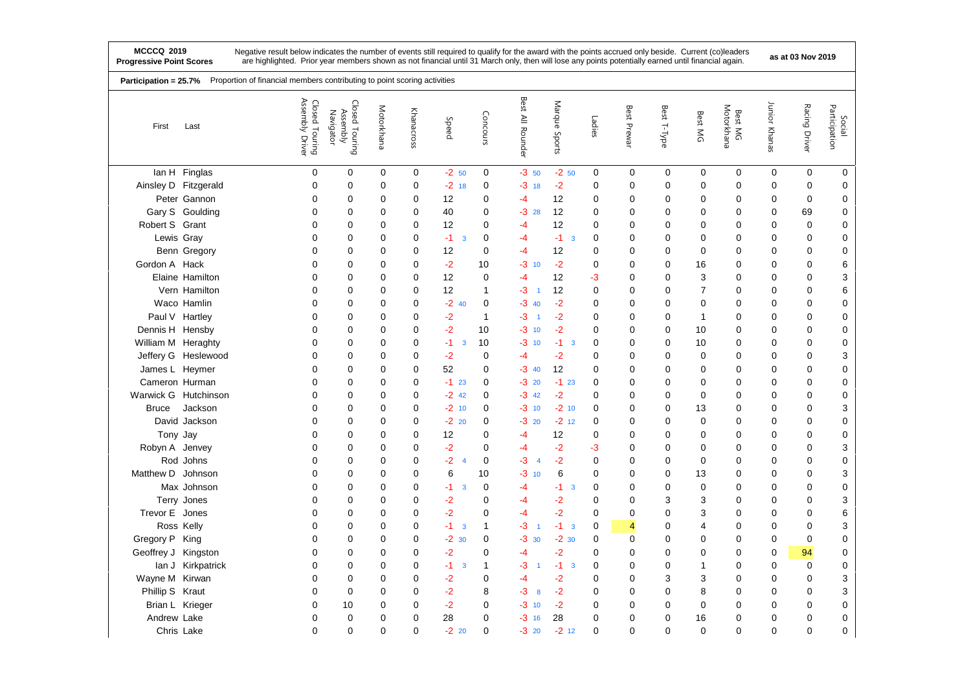|                     | Proportion of financial members contributing to point scoring activities<br>Participation = 25.7% |                                      |                                         |             |            |                        |                |                           |                  |             |             |              |                |                       |               |               |                         |
|---------------------|---------------------------------------------------------------------------------------------------|--------------------------------------|-----------------------------------------|-------------|------------|------------------------|----------------|---------------------------|------------------|-------------|-------------|--------------|----------------|-----------------------|---------------|---------------|-------------------------|
| First               | Last                                                                                              | Assembly<br>Closed Touring<br>Driver | Closed Touring<br>Assembly<br>Navigator | Motorkhana  | Khanacross | Speed                  | Concours       | Best<br>$\geq$<br>Rounder | Marque<br>Sports | Ladies      | Best Prewar | Best T-Type  | Best MG        | Motorkhana<br>Best MG | Junior Khanas | Racing Driver | Participation<br>Social |
|                     | lan H Finglas                                                                                     | 0                                    | 0                                       | 0           | 0          | $-2, 50$               | 0              | $-3, 50$                  | $-2,50$          | 0           | 0           | $\mathbf 0$  | 0              | 0                     | 0             | 0             | 0                       |
|                     | Ainsley D Fitzgerald                                                                              | 0                                    | $\mathbf 0$                             | 0           | 0          | $-2$ 18                | 0              | $-3$ 18                   | $-2$             | $\mathbf 0$ | $\mathbf 0$ | 0            | 0              | $\mathbf 0$           | 0             | 0             | 0                       |
|                     | Peter Gannon                                                                                      | 0                                    | 0                                       | $\mathbf 0$ | 0          | 12                     | 0              | -4                        | 12               | $\mathbf 0$ | 0           | 0            | 0              | $\mathbf 0$           | 0             | 0             | 0                       |
|                     | Gary S Goulding                                                                                   | $\Omega$                             | 0                                       | 0           | 0          | 40                     | $\Omega$       | $-328$                    | 12               | $\Omega$    | $\mathbf 0$ | $\Omega$     | 0              | $\Omega$              | 0             | 69            | $\mathbf 0$             |
| Robert S Grant      |                                                                                                   | 0                                    | 0                                       | $\mathbf 0$ | 0          | 12                     | 0              | $-4$                      | 12               | 0           | 0           | 0            | 0              | $\mathbf 0$           | 0             | 0             | 0                       |
| Lewis Gray          |                                                                                                   | $\Omega$                             | 0                                       | $\mathbf 0$ | 0          | $-1$<br>3              | 0              | $-4$                      | $-1$ 3           | $\mathbf 0$ | 0           | 0            | 0              | $\mathbf 0$           | 0             | 0             | 0                       |
|                     | Benn Gregory                                                                                      | 0                                    | $\mathbf 0$                             | 0           | 0          | 12                     | 0              | $-4$                      | 12               | $\mathbf 0$ | 0           | 0            | 0              | 0                     | 0             | 0             | 0                       |
| Gordon A Hack       |                                                                                                   | 0                                    | 0                                       | $\mathbf 0$ | 0          | $-2$                   | 10             | $-3$ 10                   | $-2$             | $\mathbf 0$ | 0           | 0            | 16             | 0                     | 0             | 0             | 6                       |
|                     | Elaine Hamilton                                                                                   | 0                                    | 0                                       | 0           | 0          | 12                     | 0              | $-4$                      | 12               | -3          | 0           | 0            | 3              | $\mathbf 0$           | 0             | 0             | 3                       |
|                     | Vern Hamilton                                                                                     | $\Omega$                             | 0                                       | $\mathbf 0$ | 0          | 12                     | 1              | $-3$<br>$\overline{1}$    | 12               | $\mathbf 0$ | 0           | 0            | $\overline{7}$ | $\mathbf 0$           | 0             | 0             | 6                       |
|                     | Waco Hamlin                                                                                       | 0                                    | 0                                       | 0           | 0          | $-2$<br>40             | 0              | $-3$ 40                   | $-2$             | $\mathbf 0$ | 0           | 0            | 0              | 0                     | 0             | 0             | 0                       |
|                     | Paul V Hartley                                                                                    | 0                                    | 0                                       | 0           | 0          | $-2$                   | 1              | $-3$<br>$\overline{1}$    | $-2$             | $\mathbf 0$ | 0           | 0            | 1              | $\mathbf 0$           | 0             | 0             | $\mathbf 0$             |
| Dennis H Hensby     |                                                                                                   | 0                                    | $\mathbf 0$                             | $\mathbf 0$ | 0          | $-2$                   | 10             | $-3$ 10                   | $-2$             | $\mathbf 0$ | 0           | 0            | 10             | 0                     | 0             | 0             | 0                       |
| William M Heraghty  |                                                                                                   | 0                                    | 0                                       | $\mathbf 0$ | 0          | $-1$<br>3              | 10             | $-3$ 10                   | $-1$<br>3        | 0           | 0           | 0            | 10             | 0                     | 0             | 0             | 0                       |
|                     | Jeffery G Heslewood                                                                               | 0                                    | $\mathbf 0$                             | $\mathbf 0$ | 0          | $-2$                   | 0              | $-4$                      | $-2$             | $\mathbf 0$ | 0           | 0            | $\mathbf 0$    | $\mathbf 0$           | 0             | 0             | 3                       |
| James L Heymer      |                                                                                                   | 0                                    | 0                                       | 0           | 0          | 52                     | 0              | $-3$ 40                   | 12               | 0           | 0           | 0            | 0              | $\mathbf 0$           | 0             | 0             | $\mathbf 0$             |
| Cameron Hurman      |                                                                                                   | $\Omega$                             | 0                                       | $\mathbf 0$ | 0          | $-1$<br>23             | 0              | $-3$ 20                   | $-123$           | $\mathbf 0$ | 0           | 0            | 0              | $\mathbf 0$           | 0             | 0             | 0                       |
|                     | Warwick G Hutchinson                                                                              | 0                                    | 0                                       | $\mathbf 0$ | 0          | $-2$<br>42             | 0              | $-3$ 42                   | $-2$             | $\mathbf 0$ | 0           | 0            | 0              | $\mathbf 0$           | 0             | 0             | 0                       |
| <b>Bruce</b>        | Jackson                                                                                           | 0                                    | $\mathbf 0$                             | $\mathbf 0$ | 0          | $-2$ 10                | 0              | $-3$ 10                   | $-2$ 10          | $\mathbf 0$ | 0           | 0            | 13             | $\mathbf 0$           | 0             | 0             | 3                       |
|                     | David Jackson                                                                                     | 0                                    | 0                                       | $\mathbf 0$ | 0          | $-2$ 20                | 0              | $-3$ 20                   | $-2$ 12          | 0           | 0           | 0            | $\mathbf 0$    | $\mathbf 0$           | 0             | 0             | $\mathbf 0$             |
| Tony Jay            |                                                                                                   | 0                                    | 0                                       | 0           | 0          | 12                     | 0              | -4                        | 12               | $\mathbf 0$ | 0           | 0            | 0              | 0                     | 0             | 0             | 0                       |
| Robyn A Jenvey      |                                                                                                   | 0                                    | 0                                       | 0           | 0          | $-2$                   | 0              | -4                        | $-2$             | -3          | 0           | 0            | 0              | 0                     | 0             | 0             | 3                       |
|                     | Rod Johns                                                                                         | 0                                    | 0                                       | 0           | 0          | $-2$<br>$\overline{4}$ | 0              | $-3$<br>$\overline{4}$    | $-2$             | $\mathbf 0$ | $\mathbf 0$ | 0            | 0              | 0                     | 0             | 0             | $\pmb{0}$               |
| Matthew D Johnson   |                                                                                                   | 0                                    | 0                                       | $\mathbf 0$ | 0          | 6                      | 10             | $-3$<br>10                | 6                | 0           | 0           | 0            | 13             | $\mathbf 0$           | 0             | 0             | 3                       |
|                     | Max Johnson                                                                                       | $\Omega$                             | 0                                       | 0           | 0          | $-1$<br>3              | 0              | -4                        | $-1$<br>3        | $\mathbf 0$ | 0           | 0            | 0              | 0                     | 0             | 0             | 0                       |
|                     | Terry Jones                                                                                       | 0                                    | 0                                       | 0           | 0          | $-2$                   | 0              | -4                        | -2               | $\mathbf 0$ | 0           | 3            | 3              | 0                     | 0             | 0             | 3                       |
| Trevor E Jones      |                                                                                                   | 0                                    | 0                                       | 0           | 0          | $-2$                   | 0              | $-4$                      | $-2$             | $\mathbf 0$ | 0           | 0            | 3              | $\mathbf 0$           | 0             | 0             | 6                       |
|                     | Ross Kelly                                                                                        | 0                                    | 0                                       | 0           | 0          | $-1$<br>3              | 1              | $-3$<br>-1                | $-1$ 3           | 0           | 4           | 0            | 4              | $\mathbf 0$           | 0             | 0             | 3                       |
| Gregory P King      |                                                                                                   | $\Omega$                             | 0                                       | $\mathbf 0$ | 0          | $-2$<br>30             | 0              | $-3$ 30                   | $-2.30$          | $\mathbf 0$ | 0           | 0            | 0              | $\mathbf 0$           | 0             | 0             | 0                       |
| Geoffrey J Kingston |                                                                                                   | 0                                    | 0                                       | 0           | 0          | $-2$                   | 0              | $-4$                      | -2               | 0           | 0           | 0            | 0              | 0                     | 0             | 94            | $\pmb{0}$               |
|                     | lan J Kirkpatrick                                                                                 | 0                                    | 0                                       | $\mathbf 0$ | 0          | $-1$<br>3              | 1              | $-3$<br>$\overline{1}$    | $-1$ 3           | $\mathbf 0$ | 0           | 0            | 1              | $\mathbf 0$           | 0             | 0             | $\mathbf 0$             |
| Wayne M Kirwan      |                                                                                                   | 0                                    | $\mathbf 0$                             | 0           | 0          | $-2$                   | 0              | $-4$                      | $-2$             | $\mathbf 0$ | 0           | 3            | 3              | $\mathbf 0$           | 0             | 0             | 3                       |
| Phillip S Kraut     |                                                                                                   | 0                                    | 0                                       | $\mathbf 0$ | 0          | $-2$                   | 8              | $-3$<br>8                 | $-2$             | $\mathbf 0$ | 0           | 0            | 8              | $\mathbf 0$           | 0             | 0             | 3                       |
| Brian L Krieger     |                                                                                                   | 0                                    | 10                                      | 0           | 0          | $-2$                   | 0              | $-3$ 10                   | $-2$             | 0           | 0           | 0            | 0              | 0                     | 0             | 0             | $\pmb{0}$               |
| Andrew Lake         |                                                                                                   | 0                                    | 0                                       | $\mathbf 0$ | 0          | 28                     | 0              | $-3$ 16                   | 28               | $\mathbf 0$ | 0           | 0            | 16             | $\mathbf 0$           | 0             | 0             | $\pmb{0}$               |
|                     | Chris Lake                                                                                        | $\overline{0}$                       | 0                                       | $\mathbf 0$ | 0          | $-2$<br>20             | $\overline{0}$ | $-3$ 20                   | $-2$ 12          | $\mathbf 0$ | 0           | $\mathbf{0}$ | $\mathbf 0$    | $\mathbf 0$           | 0             | $\Omega$      | 0                       |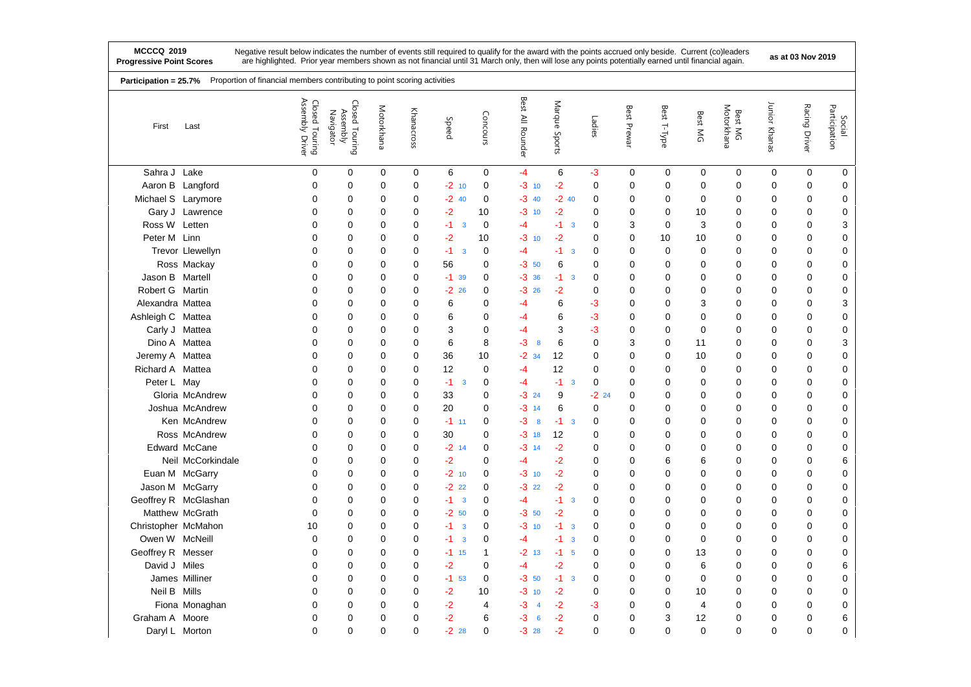|                     | Proportion of financial members contributing to point scoring activities<br>Participation = 25.7% |                                      |                                         |            |             |                                 |             |                      |                                 |             |             |                |             |                       |               |               |                         |
|---------------------|---------------------------------------------------------------------------------------------------|--------------------------------------|-----------------------------------------|------------|-------------|---------------------------------|-------------|----------------------|---------------------------------|-------------|-------------|----------------|-------------|-----------------------|---------------|---------------|-------------------------|
| First               | Last                                                                                              | Assembly<br>Closed Touring<br>Driver | Closed Touring<br>Assembly<br>Navigator | Motorkhana | Khanacross  | Speed                           | Concours    | Best All Rounder     | Marque<br>Sports                | Ladies      | Best Prewar | Best T-Type    | Best MG     | Motorkhana<br>Best MG | Junior Khanas | Racing Driver | Participation<br>Social |
| Sahra J Lake        |                                                                                                   | $\mathbf 0$                          | $\mathbf 0$                             | 0          | $\pmb{0}$   | 6                               | $\mathbf 0$ | $-4$                 | 6                               | $-3$        | $\mathbf 0$ | $\mathbf 0$    | $\mathbf 0$ | $\mathbf 0$           | $\mathbf 0$   | $\mathbf 0$   | 0                       |
|                     | Aaron B Langford                                                                                  | $\mathbf 0$                          | $\mathbf 0$                             | 0          | 0           | $-2$ 10                         | $\mathbf 0$ | $-3$<br>10           | $-2$                            | $\mathbf 0$ | $\mathbf 0$ | 0              | $\mathbf 0$ | 0                     | 0             | 0             | 0                       |
| Michael S Larymore  |                                                                                                   | 0                                    | 0                                       | 0          | 0           | $-2$ 40                         | $\mathbf 0$ | $-340$               | $-240$                          | 0           | $\mathbf 0$ | 0              | 0           | 0                     | 0             | 0             | 0                       |
|                     | Gary J Lawrence                                                                                   | 0                                    | 0                                       | 0          | 0           | -2                              | 10          | -3<br>10             | -2                              | $\mathbf 0$ | 0           | $\mathbf 0$    | 10          | 0                     | 0             | 0             | $\mathbf 0$             |
| Ross W Letten       |                                                                                                   | 0                                    | 0                                       | 0          | 0           | $-1$<br>$\overline{3}$          | $\mathbf 0$ | -4                   | $-1$<br>$\overline{\mathbf{3}}$ | 0           | 3           | 0              | 3           | 0                     | 0             | 0             | 3                       |
| Peter M Linn        |                                                                                                   | $\mathbf 0$                          | 0                                       | 0          | 0           | $-2$                            | 10          | -3<br>10             | $-2$                            | 0           | 0           | 10             | 10          | 0                     | 0             | 0             | 0                       |
|                     | Trevor Llewellyn                                                                                  | $\Omega$                             | 0                                       | 0          | 0           | $-1$<br>$\overline{3}$          | 0           | $-4$                 | -1.<br>$\overline{3}$           | 0           | 0           | $\Omega$       | 0           | 0                     | 0             | 0             | 0                       |
|                     | Ross Mackay                                                                                       | 0                                    | 0                                       | 0          | 0           | 56                              | 0           | $-3, 50$             | 6                               | 0           | 0           | 0              | 0           | 0                     | 0             | 0             | 0                       |
| Jason B Martell     |                                                                                                   | $\mathbf 0$                          | 0                                       | 0          | 0           | $-1$ 39                         | $\mathbf 0$ | $-3.36$              | $-1$<br>$\overline{3}$          | $\mathbf 0$ | 0           | 0              | 0           | 0                     | 0             | 0             | 0                       |
| Robert G Martin     |                                                                                                   | 0                                    | 0                                       | 0          | 0           | $-22$ 26                        | 0           | $-326$               | -2                              | 0           | 0           | 0              | 0           | 0                     | 0             | $\mathbf 0$   | $\pmb{0}$               |
| Alexandra Mattea    |                                                                                                   | 0                                    | 0                                       | $\Omega$   | 0           | 6                               | $\mathbf 0$ | -4                   | 6                               | -3          | 0           | $\Omega$       | 3           | 0                     | 0             | 0             | 3                       |
| Ashleigh C Mattea   |                                                                                                   | 0                                    | 0                                       | 0          | $\mathbf 0$ | 6                               | $\mathbf 0$ | -4                   | 6                               | $-3$        | 0           | $\mathbf 0$    | 0           | 0                     | 0             | $\mathbf 0$   | $\pmb{0}$               |
|                     | Carly J Mattea                                                                                    | $\mathbf 0$                          | 0                                       | $\Omega$   | 0           | 3                               | $\mathbf 0$ | -4                   | 3                               | $-3$        | 0           | $\mathbf 0$    | $\Omega$    | 0                     | 0             | $\mathbf 0$   | $\mathbf 0$             |
|                     | Dino A Mattea                                                                                     | $\mathbf 0$                          | 0                                       | 0          | 0           | 6                               | 8           | -3<br>8              | 6                               | $\mathbf 0$ | 3           | 0              | 11          | 0                     | 0             | $\mathbf 0$   | 3                       |
| Jeremy A Mattea     |                                                                                                   | 0                                    | 0                                       | $\Omega$   | $\mathbf 0$ | 36                              | 10          | $-2$ 34              | 12                              | $\mathbf 0$ | $\mathbf 0$ | 0              | 10          | 0                     | 0             | $\mathbf 0$   | $\mathbf 0$             |
| Richard A Mattea    |                                                                                                   | $\mathbf 0$                          | 0                                       | 0          | $\mathbf 0$ | 12                              | $\mathbf 0$ | -4                   | 12                              | $\mathbf 0$ | $\mathbf 0$ | $\mathbf 0$    | $\mathbf 0$ | 0                     | 0             | $\mathbf 0$   | $\pmb{0}$               |
| Peter L May         |                                                                                                   | 0                                    | 0                                       | 0          | 0           | $-1$<br>3                       | $\mathbf 0$ | -4                   | $-1$<br>$\overline{3}$          | $\mathbf 0$ | 0           | 0              | 0           | 0                     | 0             | 0             | 0                       |
|                     | Gloria McAndrew                                                                                   | $\mathbf 0$                          | 0                                       | 0          | $\mathbf 0$ | 33                              | 0           | $-324$               | 9                               | $-22$ 24    | $\mathbf 0$ | 0              | 0           | 0                     | 0             | 0             | $\pmb{0}$               |
|                     | Joshua McAndrew                                                                                   | $\Omega$                             | 0                                       | 0          | $\mathbf 0$ | 20                              | $\Omega$    | $-3$ 14              | 6                               | $\mathbf 0$ | 0           | $\Omega$       | $\Omega$    | 0                     | 0             | 0             | $\mathbf 0$             |
|                     | Ken McAndrew                                                                                      | $\mathbf 0$                          | 0                                       | $\Omega$   | $\mathbf 0$ | $-1$ 11                         | $\mathbf 0$ | -3<br>8              | $-1$<br>$\overline{3}$          | $\mathbf 0$ | $\Omega$    | $\Omega$       | 0           | 0                     | 0             | 0             | $\pmb{0}$               |
|                     | Ross McAndrew                                                                                     | $\mathbf 0$                          | 0                                       | 0          | 0           | 30                              | $\mathbf 0$ | -3<br>18             | 12                              | 0           | 0           | 0              | 0           | 0                     | 0             | $\mathbf 0$   | 0                       |
|                     | <b>Edward McCane</b>                                                                              | $\Omega$                             | 0                                       | $\Omega$   | $\mathbf 0$ | $-2$ 14                         | $\Omega$    | -3<br>14             | $-2$                            | $\mathbf 0$ | 0           | 0              | 0           | 0                     | 0             | 0             | $\pmb{0}$               |
|                     | Neil McCorkindale                                                                                 | $\mathbf 0$                          | 0                                       | 0          | $\mathbf 0$ | $-2$                            | $\mathbf 0$ | -4                   | $-2$                            | $\mathbf 0$ | $\mathbf 0$ | 6              | 6           | 0                     | 0             | $\mathbf 0$   | 6                       |
|                     | Euan M McGarry                                                                                    | 0                                    | 0                                       | 0          | 0           | $-2$ 10                         | $\mathbf 0$ | -3<br>10             | $-2$                            | $\mathbf 0$ | 0           | 0              | 0           | 0                     | 0             | 0             | $\mathbf 0$             |
|                     | Jason M McGarry                                                                                   | $\mathbf 0$                          | 0                                       | 0          | 0           | $-222$                          | 0           | -3<br>22             | $-2$                            | $\mathbf 0$ | $\mathbf 0$ | $\mathbf 0$    | 0           | 0                     | 0             | $\mathbf 0$   | $\mathbf 0$             |
|                     | Geoffrey R McGlashan                                                                              | $\mathbf 0$                          | 0                                       | 0          | 0           | $-1$<br>$\overline{\mathbf{3}}$ | $\mathbf 0$ | -4                   | -1.<br>$\overline{\mathbf{3}}$  | $\mathbf 0$ | 0           | 0              | 0           | 0                     | 0             | 0             | $\mathbf 0$             |
|                     | Matthew McGrath                                                                                   | 0                                    | 0                                       | 0          | $\mathbf 0$ | $-2, 50$                        | $\mathbf 0$ | $-3, 50$             | $-2$                            | $\mathbf 0$ | 0           | 0              | 0           | 0                     | 0             | 0             | $\mathbf 0$             |
| Christopher McMahon |                                                                                                   | 10                                   | 0                                       | 0          | 0           | -1<br>$\overline{\mathbf{3}}$   | $\mathbf 0$ | -3<br>10             | $-1$<br>$\overline{\mathbf{3}}$ | 0           | 0           | 0              | 0           | 0                     | 0             | 0             | 0                       |
| Owen W McNeill      |                                                                                                   | 0                                    | 0                                       | $\Omega$   | 0           | -1<br>$\overline{3}$            | 0           | -4                   | $-1$<br>3                       | 0           | 0           | 0              | 0           | 0                     | 0             | $\mathbf 0$   | 0                       |
| Geoffrey R Messer   |                                                                                                   | 0                                    | 0                                       | 0          | 0           | $-1$ 15                         | 1           | $-2$ 13              | $-1$<br>5                       | 0           | 0           | 0              | 13          | 0                     | 0             | 0             | 0                       |
| David J Miles       |                                                                                                   | 0                                    | 0                                       | 0          | $\mathbf 0$ | $-2$                            | 0           | $-4$                 | $-2$                            | 0           | 0           | 0              | 6           | 0                     | 0             | 0             | 6                       |
|                     | James Milliner                                                                                    | $\mathbf 0$                          | 0                                       | 0          | 0           | $-1$ 53                         | 0           | $-3,50$              | -1<br>$\overline{3}$            | 0           | 0           | 0              | 0           | 0                     | 0             | 0             | 0                       |
| Neil B Mills        |                                                                                                   | 0                                    | $\mathbf 0$                             | 0          | 0           | $-2$                            | 10          | -3<br>10             | $-2$                            | $\mathbf 0$ | 0           | 0              | 10          | 0                     | 0             | $\mathbf 0$   | $\pmb{0}$               |
|                     | Fiona Monaghan                                                                                    | $\mathbf 0$                          | 0                                       | $\Omega$   | 0           | -2                              | 4           | -3<br>$\overline{4}$ | -2                              | -3          | 0           | 0              | 4           | 0                     | 0             | 0             | $\pmb{0}$               |
| Graham A Moore      |                                                                                                   | 0                                    | 0                                       | $\Omega$   | $\mathbf 0$ | $-2$                            | 6           | -3<br>6              | $-2$                            | $\mathbf 0$ | 0           | 3              | 12          | 0                     | 0             | 0             | 6                       |
| Daryl L Morton      |                                                                                                   | 0                                    | 0                                       | $\Omega$   | 0           | $-2$ 28                         | $\mathbf 0$ | $-328$               | $-2$                            | $\mathbf 0$ | $\mathbf 0$ | $\overline{0}$ | $\mathbf 0$ | 0                     | 0             | $\mathbf 0$   | 0                       |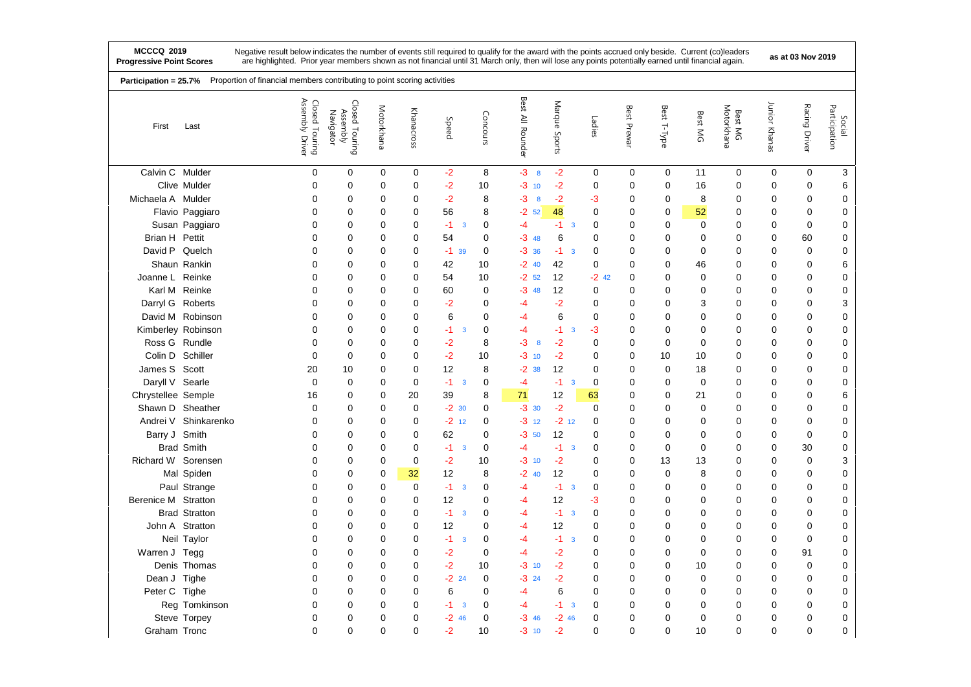|                     | Proportion of financial members contributing to point scoring activities<br>Participation = 25.7% |                                               |                                         |            |             |                                 |             |                     |                                 |             |             |             |             |                       |               |               |                         |
|---------------------|---------------------------------------------------------------------------------------------------|-----------------------------------------------|-----------------------------------------|------------|-------------|---------------------------------|-------------|---------------------|---------------------------------|-------------|-------------|-------------|-------------|-----------------------|---------------|---------------|-------------------------|
| First               | Last                                                                                              | Assembly<br>Closed Touring<br>Assembly Driver | Closed Touring<br>Assembly<br>Navigator | Motorkhana | Khanacross  | Speed                           | Concours    | Best<br>All Rounder | Marque<br>Sports                | Ladies      | Best Prewar | Best T-Type | Best MG     | Motorkhana<br>Best MG | Junior Khanas | Racing Driver | Participation<br>Social |
| Calvin C Mulder     |                                                                                                   | 0                                             | 0                                       | 0          | $\mathbf 0$ | $-2$                            | 8           | $-3$ 8              | $-2$                            | 0           | 0           | $\mathbf 0$ | 11          | 0                     | 0             | 0             | 3                       |
|                     | Clive Mulder                                                                                      | 0                                             | 0                                       | $\Omega$   | $\mathbf 0$ | $-2$                            | 10          | -3<br>10            | $-2$                            | $\mathbf 0$ | $\Omega$    | 0           | 16          | 0                     | $\mathbf 0$   | 0             | 6                       |
| Michaela A Mulder   |                                                                                                   | 0                                             | 0                                       | 0          | $\mathbf 0$ | $-2$                            | 8           | -3<br>8             | $-2$                            | -3          | 0           | 0           | 8           | 0                     | 0             | 0             | 0                       |
|                     | Flavio Paggiaro                                                                                   | 0                                             | 0                                       | 0          | $\Omega$    | 56                              | 8           | $-2$ 52             | 48                              | $\Omega$    | 0           | 0           | 52          | $\Omega$              | 0             | $\Omega$      | $\mathbf 0$             |
|                     | Susan Paggiaro                                                                                    | 0                                             | 0                                       | 0          | 0           | $-1$<br>3                       | $\mathbf 0$ | -4                  | -1<br>$\overline{\mathbf{3}}$   | 0           | 0           | 0           | 0           | 0                     | 0             | 0             | 0                       |
| Brian H Pettit      |                                                                                                   | $\Omega$                                      | 0                                       | 0          | $\mathbf 0$ | 54                              | $\Omega$    | $-348$              | 6                               | 0           | 0           | 0           | $\Omega$    | 0                     | 0             | 60            | 0                       |
| David P Quelch      |                                                                                                   | 0                                             | 0                                       | 0          | 0           | $-1$ 39                         | $\mathbf 0$ | $-3.36$             | $-1$ 3                          | 0           | 0           | 0           | 0           | 0                     | 0             | 0             | 0                       |
|                     | Shaun Rankin                                                                                      | 0                                             | 0                                       | 0          | $\mathbf 0$ | 42                              | 10          | $-2$ 40             | 42                              | 0           | 0           | 0           | 46          | 0                     | 0             | 0             | 6                       |
| Joanne L Reinke     |                                                                                                   | 0                                             | 0                                       | 0          | 0           | 54                              | 10          | $-2$ 52             | 12                              | $-2$ 42     | $\mathbf 0$ | 0           | 0           | 0                     | 0             | 0             | $\pmb{0}$               |
|                     | Karl M Reinke                                                                                     | 0                                             | 0                                       | 0          | $\mathbf 0$ | 60                              | $\mathbf 0$ | $-348$              | 12                              | 0           | 0           | 0           | 0           | 0                     | 0             | 0             | $\pmb{0}$               |
| Darryl G Roberts    |                                                                                                   | 0                                             | 0                                       | 0          | 0           | $-2$                            | 0           | -4                  | $-2$                            | 0           | 0           | 0           | 3           | 0                     | 0             | 0             | 3                       |
|                     | David M Robinson                                                                                  | 0                                             | 0                                       | 0          | $\mathbf 0$ | 6                               | $\mathbf 0$ | $-4$                | 6                               | 0           | 0           | 0           | 0           | 0                     | 0             | 0             | $\pmb{0}$               |
| Kimberley Robinson  |                                                                                                   | 0                                             | 0                                       | 0          | 0           | $-1$<br>3                       | 0           | $-4$                | $-1$<br>$\overline{\mathbf{3}}$ | $-3$        | 0           | 0           | 0           | $\mathbf 0$           | 0             | 0             | $\pmb{0}$               |
| Ross G Rundle       |                                                                                                   | 0                                             | 0                                       | 0          | 0           | $-2$                            | 8           | -3<br>8             | $-2$                            | $\mathbf 0$ | 0           | 0           | $\Omega$    | 0                     | 0             | 0             | 0                       |
| Colin D Schiller    |                                                                                                   | $\mathbf 0$                                   | 0                                       | 0          | 0           | $-2$                            | 10          | $-3$ 10             | $-2$                            | 0           | $\mathbf 0$ | 10          | 10          | 0                     | 0             | 0             | 0                       |
| James S Scott       |                                                                                                   | 20                                            | 10                                      | 0          | 0           | 12                              | 8           | $-2.38$             | 12                              | 0           | 0           | 0           | 18          | 0                     | 0             | 0             | 0                       |
| Daryll V Searle     |                                                                                                   | $\mathbf 0$                                   | 0                                       | 0          | $\mathbf 0$ | $-1$<br>$\overline{\mathbf{3}}$ | 0           | $-4$                | $-1$<br>$\mathbf{3}$            | $\mathbf 0$ | $\mathbf 0$ | 0           | $\mathbf 0$ | 0                     | 0             | 0             | $\pmb{0}$               |
| Chrystellee Semple  |                                                                                                   | 16                                            | 0                                       | 0          | 20          | 39                              | 8           | 71                  | 12                              | 63          | 0           | 0           | 21          | 0                     | 0             | 0             | 6                       |
| Shawn D Sheather    |                                                                                                   | $\mathbf 0$                                   | 0                                       | 0          | $\mathbf 0$ | $-2$ 30                         | $\mathbf 0$ | $-3$ 30             | $-2$                            | $\mathbf 0$ | 0           | 0           | 0           | 0                     | 0             | 0             | $\pmb{0}$               |
|                     | Andrei V Shinkarenko                                                                              | 0                                             | 0                                       | 0          | 0           | $-2$ 12                         | $\mathbf 0$ | $-3$ 12             | $-2$ 12                         | 0           | 0           | 0           | 0           | 0                     | 0             | 0             | 0                       |
| Barry J Smith       |                                                                                                   | 0                                             | 0                                       | 0          | 0           | 62                              | $\mathbf 0$ | -3<br>50            | 12                              | 0           | 0           | 0           | 0           | 0                     | 0             | 0             | 0                       |
|                     | <b>Brad Smith</b>                                                                                 | 0                                             | 0                                       | 0          | $\mathbf 0$ | $-1$<br>3                       | $\mathbf 0$ | -4                  | $-1$ 3                          | 0           | 0           | 0           | 0           | 0                     | 0             | 30            | 0                       |
| Richard W Sorensen  |                                                                                                   | 0                                             | 0                                       | 0          | 0           | $-2$                            | 10          | $-3$ 10             | $-2$                            | $\mathbf 0$ | $\mathbf 0$ | 13          | 13          | 0                     | 0             | 0             | 3                       |
|                     | Mal Spiden                                                                                        | 0                                             | 0                                       | 0          | 32          | 12                              | 8           | $-2$<br>40          | 12                              | 0           | 0           | 0           | 8           | 0                     | 0             | 0             | 0                       |
|                     | Paul Strange                                                                                      | 0                                             | 0                                       | 0          | 0           | $-1$<br>$\overline{\mathbf{3}}$ | 0           | -4                  | $-1$<br>$\overline{3}$          | $\mathbf 0$ | 0           | 0           | $\Omega$    | $\mathbf 0$           | 0             | 0             | 0                       |
| Berenice M Stratton |                                                                                                   | 0                                             | 0                                       | 0          | $\mathbf 0$ | 12                              | $\mathbf 0$ | -4                  | 12                              | -3          | 0           | 0           | 0           | 0                     | 0             | 0             | 0                       |
|                     | <b>Brad Stratton</b>                                                                              | 0                                             | 0                                       | 0          | $\mathbf 0$ | $-1$<br>3                       | $\mathbf 0$ | -4                  | $-1$<br>3                       | $\mathbf 0$ | 0           | 0           | 0           | 0                     | 0             | 0             | $\mathbf 0$             |
|                     | John A Stratton                                                                                   | 0                                             | 0                                       | 0          | 0           | 12                              | 0           | $-4$                | 12                              | 0           | 0           | 0           | 0           | 0                     | 0             | 0             | $\pmb{0}$               |
|                     | Neil Taylor                                                                                       | 0                                             | 0                                       | 0          | $\mathbf 0$ | $-1$<br>$\overline{3}$          | $\mathbf 0$ | $-4$                | $-1$<br>$\overline{\mathbf{3}}$ | 0           | 0           | 0           | $\Omega$    | 0                     | 0             | 0             | 0                       |
| Warren J Tegg       |                                                                                                   | 0                                             | 0                                       | 0          | 0           | $-2$                            | $\mathbf 0$ | $-4$                | $-2$                            | 0           | 0           | 0           | 0           | 0                     | 0             | 91            | 0                       |
|                     | Denis Thomas                                                                                      | 0                                             | 0                                       | 0          | $\mathbf 0$ | $-2$                            | 10          | $-3$ 10             | $-2$                            | 0           | 0           | 0           | 10          | 0                     | 0             | 0             | 0                       |
| Dean J Tighe        |                                                                                                   | 0                                             | 0                                       | 0          | 0           | $-2$ 24                         | 0           | $-324$              | $-2$                            | 0           | 0           | 0           | 0           | $\mathbf 0$           | 0             | 0             | $\pmb{0}$               |
| Peter C Tighe       |                                                                                                   | 0                                             | 0                                       | 0          | $\mathbf 0$ | 6                               | $\mathbf 0$ | -4                  | 6                               | $\mathbf 0$ | 0           | 0           | 0           | 0                     | 0             | 0             | 0                       |
|                     | Reg Tomkinson                                                                                     | 0                                             | 0                                       | 0          | 0           | $-1$<br>$\overline{\mathbf{3}}$ | $\mathbf 0$ | $-4$                | -1 -<br>$\overline{\mathbf{3}}$ | 0           | 0           | 0           | 0           | 0                     | 0             | 0             | $\pmb{0}$               |
|                     | Steve Torpey                                                                                      | 0                                             | 0                                       | 0          | 0           | $-246$                          | $\mathbf 0$ | $-346$              | $-246$                          | 0           | 0           | 0           | 0           | 0                     | 0             | 0             | $\mathbf 0$             |
| Graham Tronc        |                                                                                                   | 0                                             | 0                                       | 0          | $\mathbf 0$ | $-2$                            | 10          | $-3$ 10             | $-2$                            | $\mathbf 0$ | 0           | 0           | 10          | 0                     | 0             | $\Omega$      | $\mathbf 0$             |